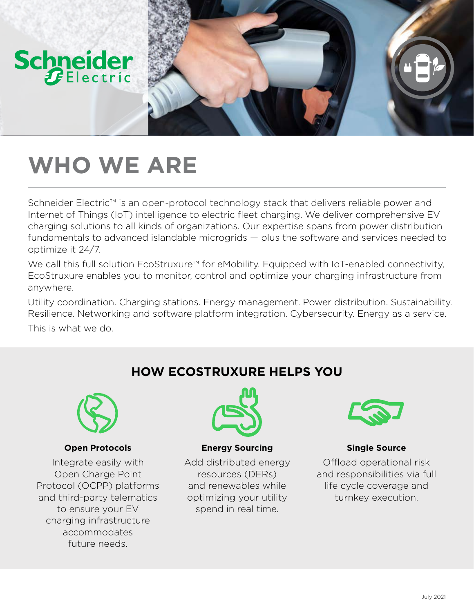

## **WHO WE ARE**

Schneider Electric™ is an open-protocol technology stack that delivers reliable power and Internet of Things (IoT) intelligence to electric fleet charging. We deliver comprehensive EV charging solutions to all kinds of organizations. Our expertise spans from power distribution fundamentals to advanced islandable microgrids — plus the software and services needed to optimize it 24/7.

We call this full solution EcoStruxure™ for eMobility. Equipped with IoT-enabled connectivity, EcoStruxure enables you to monitor, control and optimize your charging infrastructure from anywhere.

Utility coordination. Charging stations. Energy management. Power distribution. Sustainability. Resilience. Networking and software platform integration. Cybersecurity. Energy as a service.

This is what we do.



#### **Open Protocols**

Integrate easily with Open Charge Point Protocol (OCPP) platforms and third-party telematics to ensure your EV charging infrastructure accommodates future needs.



**HOW ECOSTRUXURE HELPS YOU**

**Energy Sourcing**

Add distributed energy resources (DERs) and renewables while optimizing your utility spend in real time.



**Single Source**

Offload operational risk and responsibilities via full life cycle coverage and turnkey execution.